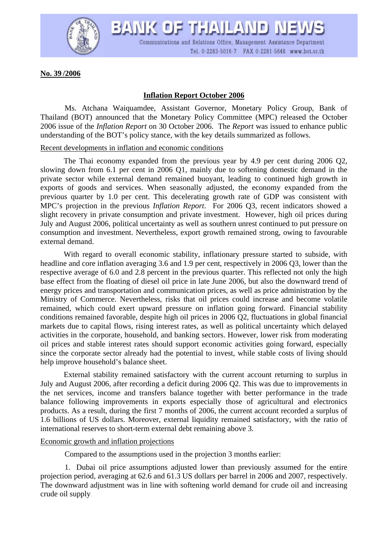

BANK OF THAILAND NEV Communications and Relations Office, Management Assistance Department Tel. 0-2283-5016-7 FAX 0-2281-5648 www.bot.or.th

**No. 39 /2006**

## **Inflation Report October 2006**

Ms. Atchana Waiquamdee, Assistant Governor, Monetary Policy Group, Bank of Thailand (BOT) announced that the Monetary Policy Committee (MPC) released the October 2006 issue of the *Inflation Report* on 30 October 2006. The *Report* was issued to enhance public understanding of the BOT's policy stance, with the key details summarized as follows.

## Recent developments in inflation and economic conditions

The Thai economy expanded from the previous year by 4.9 per cent during 2006 Q2, slowing down from 6.1 per cent in 2006 Q1, mainly due to softening domestic demand in the private sector while external demand remained buoyant, leading to continued high growth in exports of goods and services. When seasonally adjusted, the economy expanded from the previous quarter by 1.0 per cent. This decelerating growth rate of GDP was consistent with MPC's projection in the previous *Inflation Report*. For 2006 Q3, recent indicators showed a slight recovery in private consumption and private investment. However, high oil prices during July and August 2006, political uncertainty as well as southern unrest continued to put pressure on consumption and investment. Nevertheless, export growth remained strong, owing to favourable external demand.

With regard to overall economic stability, inflationary pressure started to subside, with headline and core inflation averaging 3.6 and 1.9 per cent, respectively in 2006 Q3, lower than the respective average of 6.0 and 2.8 percent in the previous quarter. This reflected not only the high base effect from the floating of diesel oil price in late June 2006, but also the downward trend of energy prices and transportation and communication prices, as well as price administration by the Ministry of Commerce. Nevertheless, risks that oil prices could increase and become volatile remained, which could exert upward pressure on inflation going forward. Financial stability conditions remained favorable, despite high oil prices in 2006 Q2, fluctuations in global financial markets due to capital flows, rising interest rates, as well as political uncertainty which delayed activities in the corporate, household, and banking sectors. However, lower risk from moderating oil prices and stable interest rates should support economic activities going forward, especially since the corporate sector already had the potential to invest, while stable costs of living should help improve household's balance sheet.

External stability remained satisfactory with the current account returning to surplus in July and August 2006, after recording a deficit during 2006 Q2. This was due to improvements in the net services, income and transfers balance together with better performance in the trade balance following improvements in exports especially those of agricultural and electronics products. As a result, during the first 7 months of 2006, the current account recorded a surplus of 1.6 billions of US dollars. Moreover, external liquidity remained satisfactory, with the ratio of international reserves to short-term external debt remaining above 3.

## Economic growth and inflation projections

Compared to the assumptions used in the projection 3 months earlier:

 1. Dubai oil price assumptions adjusted lower than previously assumed for the entire projection period, averaging at 62.6 and 61.3 US dollars per barrel in 2006 and 2007, respectively. The downward adjustment was in line with softening world demand for crude oil and increasing crude oil supply.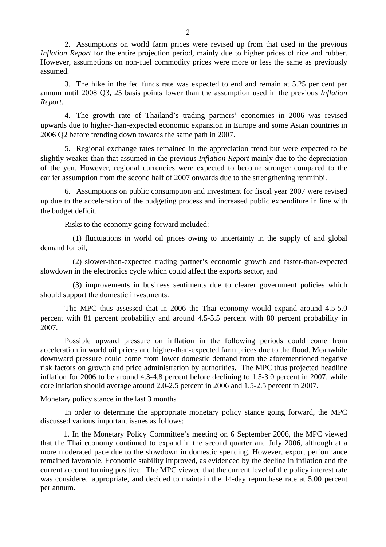2. Assumptions on world farm prices were revised up from that used in the previous *Inflation Report* for the entire projection period, mainly due to higher prices of rice and rubber. However, assumptions on non-fuel commodity prices were more or less the same as previously assumed.

3. The hike in the fed funds rate was expected to end and remain at 5.25 per cent per annum until 2008 Q3, 25 basis points lower than the assumption used in the previous *Inflation Report*.

 4. The growth rate of Thailand's trading partners' economies in 2006 was revised upwards due to higher-than-expected economic expansion in Europe and some Asian countries in 2006 Q2 before trending down towards the same path in 2007.

 5. Regional exchange rates remained in the appreciation trend but were expected to be slightly weaker than that assumed in the previous *Inflation Report* mainly due to the depreciation of the yen. However, regional currencies were expected to become stronger compared to the earlier assumption from the second half of 2007 onwards due to the strengthening renminbi.

 6. Assumptions on public consumption and investment for fiscal year 2007 were revised up due to the acceleration of the budgeting process and increased public expenditure in line with the budget deficit.

Risks to the economy going forward included:

 (1) fluctuations in world oil prices owing to uncertainty in the supply of and global demand for oil,

 (2) slower-than-expected trading partner's economic growth and faster-than-expected slowdown in the electronics cycle which could affect the exports sector, and

 (3) improvements in business sentiments due to clearer government policies which should support the domestic investments.

The MPC thus assessed that in 2006 the Thai economy would expand around 4.5-5.0 percent with 81 percent probability and around 4.5-5.5 percent with 80 percent probability in 2007.

Possible upward pressure on inflation in the following periods could come from acceleration in world oil prices and higher-than-expected farm prices due to the flood. Meanwhile downward pressure could come from lower domestic demand from the aforementioned negative risk factors on growth and price administration by authorities. The MPC thus projected headline inflation for 2006 to be around 4.3-4.8 percent before declining to 1.5-3.0 percent in 2007, while core inflation should average around 2.0-2.5 percent in 2006 and 1.5-2.5 percent in 2007.

## Monetary policy stance in the last 3 months

In order to determine the appropriate monetary policy stance going forward, the MPC discussed various important issues as follows:

1. In the Monetary Policy Committee's meeting on 6 September 2006, the MPC viewed that the Thai economy continued to expand in the second quarter and July 2006, although at a more moderated pace due to the slowdown in domestic spending. However, export performance remained favorable. Economic stability improved, as evidenced by the decline in inflation and the current account turning positive. The MPC viewed that the current level of the policy interest rate was considered appropriate, and decided to maintain the 14-day repurchase rate at 5.00 percent per annum.